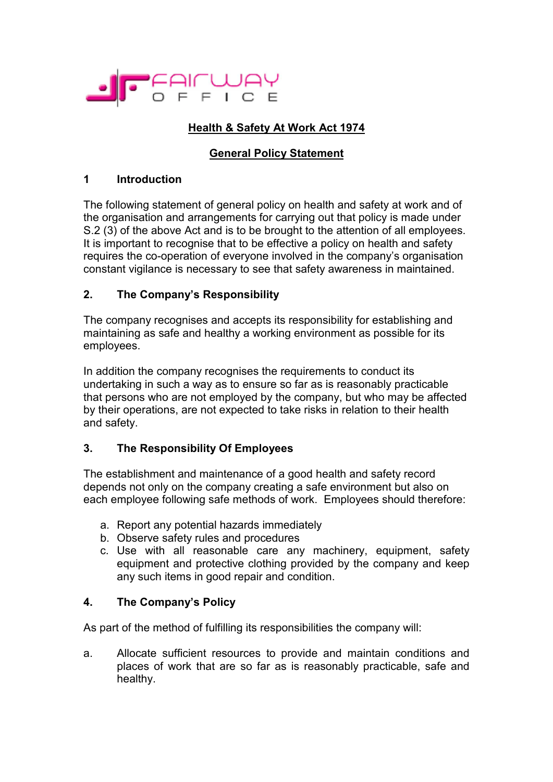

# **Health & Safety At Work Act 1974**

## **General Policy Statement**

#### **1 Introduction**

The following statement of general policy on health and safety at work and of the organisation and arrangements for carrying out that policy is made under S.2 (3) of the above Act and is to be brought to the attention of all employees. It is important to recognise that to be effective a policy on health and safety requires the co-operation of everyone involved in the company's organisation constant vigilance is necessary to see that safety awareness in maintained.

## **2. The Company's Responsibility**

The company recognises and accepts its responsibility for establishing and maintaining as safe and healthy a working environment as possible for its employees.

In addition the company recognises the requirements to conduct its undertaking in such a way as to ensure so far as is reasonably practicable that persons who are not employed by the company, but who may be affected by their operations, are not expected to take risks in relation to their health and safety.

## **3. The Responsibility Of Employees**

The establishment and maintenance of a good health and safety record depends not only on the company creating a safe environment but also on each employee following safe methods of work. Employees should therefore:

- a. Report any potential hazards immediately
- b. Observe safety rules and procedures
- c. Use with all reasonable care any machinery, equipment, safety equipment and protective clothing provided by the company and keep any such items in good repair and condition.

## **4. The Company's Policy**

As part of the method of fulfilling its responsibilities the company will:

a. Allocate sufficient resources to provide and maintain conditions and places of work that are so far as is reasonably practicable, safe and healthy.